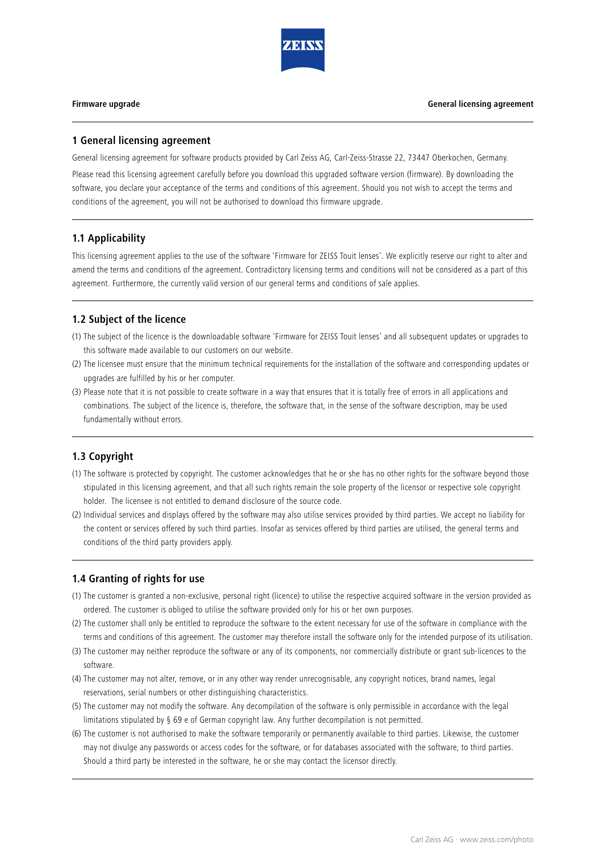

### **1 General licensing agreement**

General licensing agreement for software products provided by Carl Zeiss AG, Carl-Zeiss-Strasse 22, 73447 Oberkochen, Germany.

Please read this licensing agreement carefully before you download this upgraded software version (firmware). By downloading the software, you declare your acceptance of the terms and conditions of this agreement. Should you not wish to accept the terms and conditions of the agreement, you will not be authorised to download this firmware upgrade.

# **1.1 Applicability**

This licensing agreement applies to the use of the software 'Firmware for ZEISS Touit lenses'. We explicitly reserve our right to alter and amend the terms and conditions of the agreement. Contradictory licensing terms and conditions will not be considered as a part of this agreement. Furthermore, the currently valid version of our general terms and conditions of sale applies.

## **1.2 Subject of the licence**

- (1) The subject of the licence is the downloadable software 'Firmware for ZEISS Touit lenses' and all subsequent updates or upgrades to this software made available to our customers on our website.
- (2) The licensee must ensure that the minimum technical requirements for the installation of the software and corresponding updates or upgrades are fulfilled by his or her computer.
- (3) Please note that it is not possible to create software in a way that ensures that it is totally free of errors in all applications and combinations. The subject of the licence is, therefore, the software that, in the sense of the software description, may be used fundamentally without errors.

## **1.3 Copyright**

- (1) The software is protected by copyright. The customer acknowledges that he or she has no other rights for the software beyond those stipulated in this licensing agreement, and that all such rights remain the sole property of the licensor or respective sole copyright holder. The licensee is not entitled to demand disclosure of the source code.
- (2) Individual services and displays offered by the software may also utilise services provided by third parties. We accept no liability for the content or services offered by such third parties. Insofar as services offered by third parties are utilised, the general terms and conditions of the third party providers apply.

## **1.4 Granting of rights for use**

- (1) The customer is granted a non-exclusive, personal right (licence) to utilise the respective acquired software in the version provided as ordered. The customer is obliged to utilise the software provided only for his or her own purposes.
- (2) The customer shall only be entitled to reproduce the software to the extent necessary for use of the software in compliance with the terms and conditions of this agreement. The customer may therefore install the software only for the intended purpose of its utilisation.
- (3) The customer may neither reproduce the software or any of its components, nor commercially distribute or grant sub-licences to the software.
- (4) The customer may not alter, remove, or in any other way render unrecognisable, any copyright notices, brand names, legal reservations, serial numbers or other distinguishing characteristics.
- (5) The customer may not modify the software. Any decompilation of the software is only permissible in accordance with the legal limitations stipulated by § 69 e of German copyright law. Any further decompilation is not permitted.
- (6) The customer is not authorised to make the software temporarily or permanently available to third parties. Likewise, the customer may not divulge any passwords or access codes for the software, or for databases associated with the software, to third parties. Should a third party be interested in the software, he or she may contact the licensor directly.